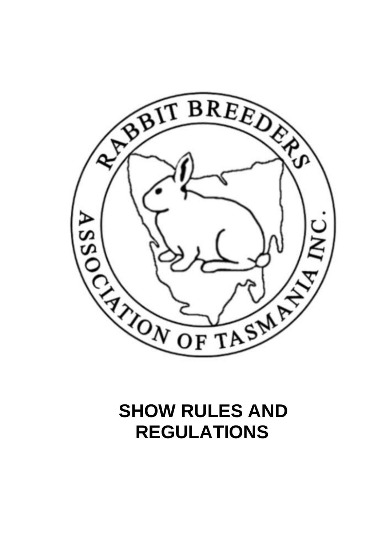

# **SHOW RULES AND REGULATIONS**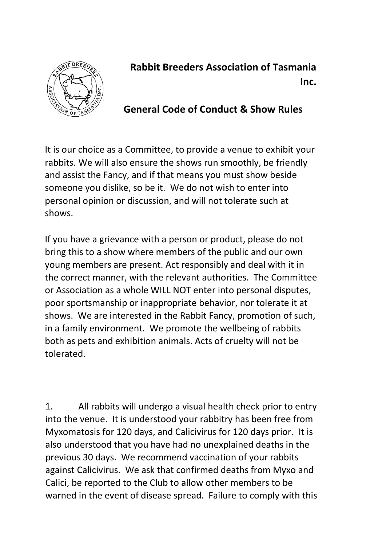

# **Rabbit Breeders Association of Tasmania Inc.**

# **General Code of Conduct & Show Rules**

It is our choice as a Committee, to provide a venue to exhibit your rabbits. We will also ensure the shows run smoothly, be friendly and assist the Fancy, and if that means you must show beside someone you dislike, so be it. We do not wish to enter into personal opinion or discussion, and will not tolerate such at shows.

If you have a grievance with a person or product, please do not bring this to a show where members of the public and our own young members are present. Act responsibly and deal with it in the correct manner, with the relevant authorities. The Committee or Association as a whole WILL NOT enter into personal disputes, poor sportsmanship or inappropriate behavior, nor tolerate it at shows. We are interested in the Rabbit Fancy, promotion of such, in a family environment. We promote the wellbeing of rabbits both as pets and exhibition animals. Acts of cruelty will not be tolerated.

1. All rabbits will undergo a visual health check prior to entry into the venue. It is understood your rabbitry has been free from Myxomatosis for 120 days, and Calicivirus for 120 days prior. It is also understood that you have had no unexplained deaths in the previous 30 days. We recommend vaccination of your rabbits against Calicivirus. We ask that confirmed deaths from Myxo and Calici, be reported to the Club to allow other members to be warned in the event of disease spread. Failure to comply with this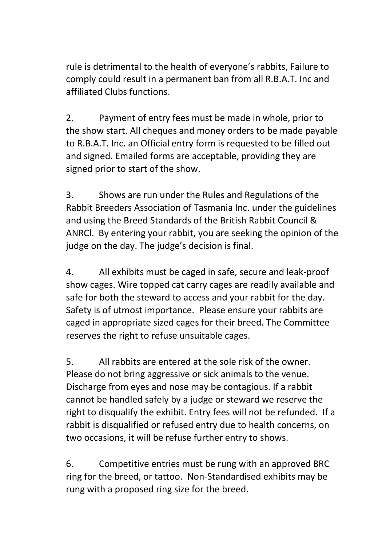rule is detrimental to the health of everyone's rabbits, Failure to comply could result in a permanent ban from all R.B.A.T. Inc and affiliated Clubs functions.

2. Payment of entry fees must be made in whole, prior to the show start. All cheques and money orders to be made payable to R.B.A.T. Inc. an Official entry form is requested to be filled out and signed. Emailed forms are acceptable, providing they are signed prior to start of the show.

3. Shows are run under the Rules and Regulations of the Rabbit Breeders Association of Tasmania Inc. under the guidelines and using the Breed Standards of the British Rabbit Council & ANRCl. By entering your rabbit, you are seeking the opinion of the judge on the day. The judge's decision is final.

4. All exhibits must be caged in safe, secure and leak-proof show cages. Wire topped cat carry cages are readily available and safe for both the steward to access and your rabbit for the day. Safety is of utmost importance. Please ensure your rabbits are caged in appropriate sized cages for their breed. The Committee reserves the right to refuse unsuitable cages.

5. All rabbits are entered at the sole risk of the owner. Please do not bring aggressive or sick animals to the venue. Discharge from eyes and nose may be contagious. If a rabbit cannot be handled safely by a judge or steward we reserve the right to disqualify the exhibit. Entry fees will not be refunded. If a rabbit is disqualified or refused entry due to health concerns, on two occasions, it will be refuse further entry to shows.

6. Competitive entries must be rung with an approved BRC ring for the breed, or tattoo. Non-Standardised exhibits may be rung with a proposed ring size for the breed.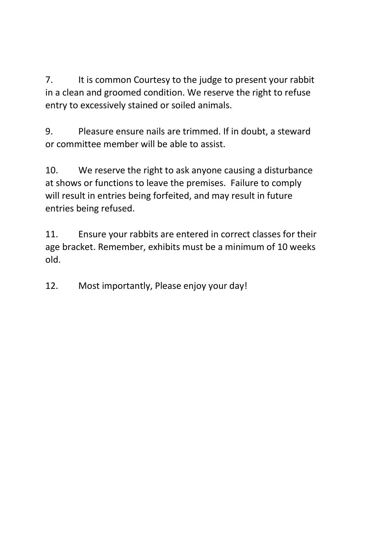7. It is common Courtesy to the judge to present your rabbit in a clean and groomed condition. We reserve the right to refuse entry to excessively stained or soiled animals.

9. Pleasure ensure nails are trimmed. If in doubt, a steward or committee member will be able to assist.

10. We reserve the right to ask anyone causing a disturbance at shows or functions to leave the premises. Failure to comply will result in entries being forfeited, and may result in future entries being refused.

11. Ensure your rabbits are entered in correct classes for their age bracket. Remember, exhibits must be a minimum of 10 weeks old.

12. Most importantly, Please enjoy your day!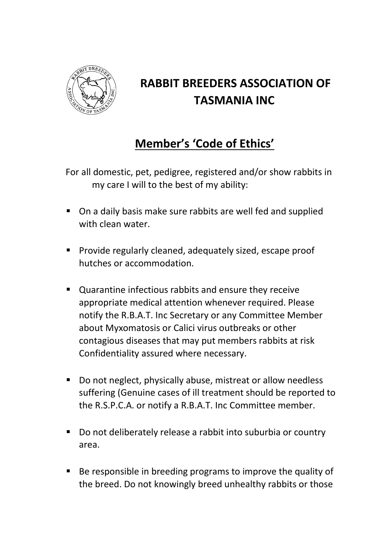

# **RABBIT BREEDERS ASSOCIATION OF TASMANIA INC**

# **Member's 'Code of Ethics'**

For all domestic, pet, pedigree, registered and/or show rabbits in my care I will to the best of my ability:

- On a daily basis make sure rabbits are well fed and supplied with clean water.
- **Provide regularly cleaned, adequately sized, escape proof** hutches or accommodation.
- Quarantine infectious rabbits and ensure they receive appropriate medical attention whenever required. Please notify the R.B.A.T. Inc Secretary or any Committee Member about Myxomatosis or Calici virus outbreaks or other contagious diseases that may put members rabbits at risk Confidentiality assured where necessary.
- Do not neglect, physically abuse, mistreat or allow needless suffering (Genuine cases of ill treatment should be reported to the R.S.P.C.A. or notify a R.B.A.T. Inc Committee member.
- Do not deliberately release a rabbit into suburbia or country area.
- Be responsible in breeding programs to improve the quality of the breed. Do not knowingly breed unhealthy rabbits or those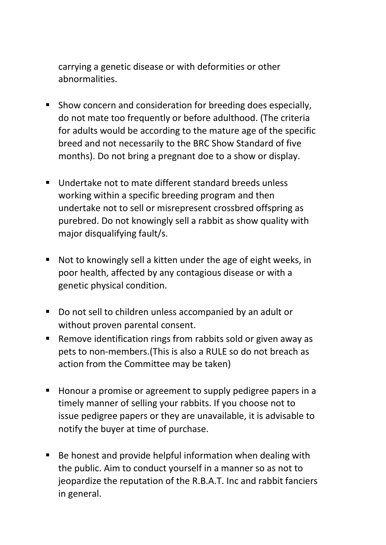carrying a genetic disease or with deformities or other abnormalities.

- Show concern and consideration for breeding does especially, do not mate too frequently or before adulthood. (The criteria for adults would be according to the mature age of the specific breed and not necessarily to the BRC Show Standard of five months). Do not bring a pregnant doe to a show or display.
- **Undertake not to mate different standard breeds unless** working within a specific breeding program and then undertake not to sell or misrepresent crossbred offspring as purebred. Do not knowingly sell a rabbit as show quality with major disqualifying fault/s.
- Not to knowingly sell a kitten under the age of eight weeks, in poor health, affected by any contagious disease or with a genetic physical condition.
- Do not sell to children unless accompanied by an adult or without proven parental consent.
- Remove identification rings from rabbits sold or given away as pets to non-members.(This is also a RULE so do not breach as action from the Committee may be taken)
- **Honour a promise or agreement to supply pedigree papers in a** timely manner of selling your rabbits. If you choose not to issue pedigree papers or they are unavailable, it is advisable to notify the buyer at time of purchase.
- Be honest and provide helpful information when dealing with the public. Aim to conduct yourself in a manner so as not to jeopardize the reputation of the R.B.A.T. Inc and rabbit fanciers in general.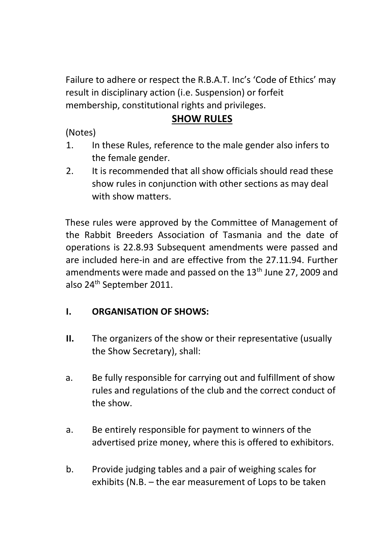Failure to adhere or respect the R.B.A.T. Inc's 'Code of Ethics' may result in disciplinary action (i.e. Suspension) or forfeit membership, constitutional rights and privileges.

# **SHOW RULES**

(Notes)

- 1. In these Rules, reference to the male gender also infers to the female gender.
- 2. It is recommended that all show officials should read these show rules in conjunction with other sections as may deal with show matters.

These rules were approved by the Committee of Management of the Rabbit Breeders Association of Tasmania and the date of operations is 22.8.93 Subsequent amendments were passed and are included here-in and are effective from the 27.11.94. Further amendments were made and passed on the 13<sup>th</sup> June 27, 2009 and also 24th September 2011.

# **I. ORGANISATION OF SHOWS:**

- **II.** The organizers of the show or their representative (usually the Show Secretary), shall:
- a. Be fully responsible for carrying out and fulfillment of show rules and regulations of the club and the correct conduct of the show.
- a. Be entirely responsible for payment to winners of the advertised prize money, where this is offered to exhibitors.
- b. Provide judging tables and a pair of weighing scales for exhibits (N.B. – the ear measurement of Lops to be taken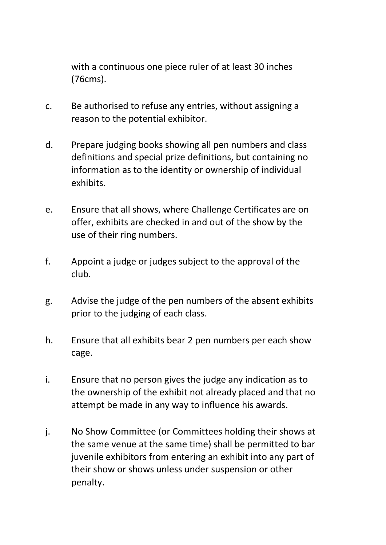with a continuous one piece ruler of at least 30 inches (76cms).

- c. Be authorised to refuse any entries, without assigning a reason to the potential exhibitor.
- d. Prepare judging books showing all pen numbers and class definitions and special prize definitions, but containing no information as to the identity or ownership of individual exhibits.
- e. Ensure that all shows, where Challenge Certificates are on offer, exhibits are checked in and out of the show by the use of their ring numbers.
- f. Appoint a judge or judges subject to the approval of the club.
- g. Advise the judge of the pen numbers of the absent exhibits prior to the judging of each class.
- h. Ensure that all exhibits bear 2 pen numbers per each show cage.
- i. Ensure that no person gives the judge any indication as to the ownership of the exhibit not already placed and that no attempt be made in any way to influence his awards.
- j. No Show Committee (or Committees holding their shows at the same venue at the same time) shall be permitted to bar juvenile exhibitors from entering an exhibit into any part of their show or shows unless under suspension or other penalty.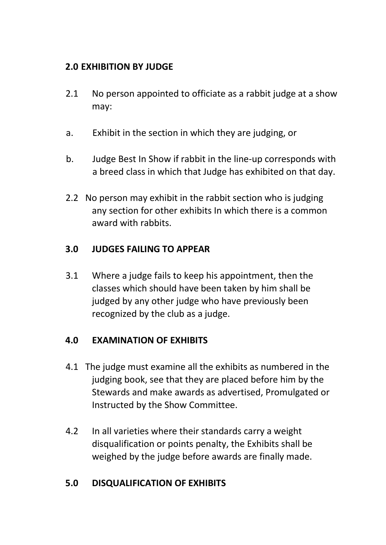# **2.0 EXHIBITION BY JUDGE**

- 2.1 No person appointed to officiate as a rabbit judge at a show may:
- a. Exhibit in the section in which they are judging, or
- b. Judge Best In Show if rabbit in the line-up corresponds with a breed class in which that Judge has exhibited on that day.
- 2.2 No person may exhibit in the rabbit section who is judging any section for other exhibits In which there is a common award with rabbits.

# **3.0 JUDGES FAILING TO APPEAR**

3.1 Where a judge fails to keep his appointment, then the classes which should have been taken by him shall be judged by any other judge who have previously been recognized by the club as a judge.

#### **4.0 EXAMINATION OF EXHIBITS**

- 4.1 The judge must examine all the exhibits as numbered in the judging book, see that they are placed before him by the Stewards and make awards as advertised, Promulgated or Instructed by the Show Committee.
- 4.2 In all varieties where their standards carry a weight disqualification or points penalty, the Exhibits shall be weighed by the judge before awards are finally made.

#### **5.0 DISQUALIFICATION OF EXHIBITS**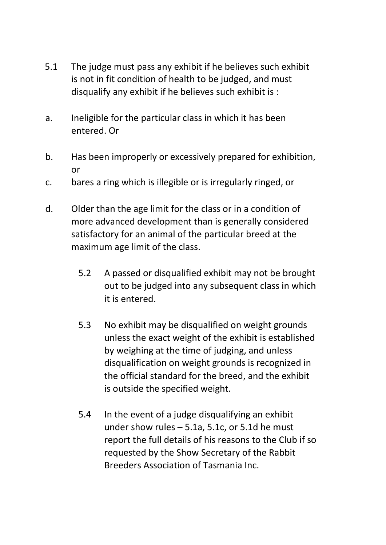- 5.1 The judge must pass any exhibit if he believes such exhibit is not in fit condition of health to be judged, and must disqualify any exhibit if he believes such exhibit is :
- a. Ineligible for the particular class in which it has been entered. Or
- b. Has been improperly or excessively prepared for exhibition, or
- c. bares a ring which is illegible or is irregularly ringed, or
- d. Older than the age limit for the class or in a condition of more advanced development than is generally considered satisfactory for an animal of the particular breed at the maximum age limit of the class.
	- 5.2 A passed or disqualified exhibit may not be brought out to be judged into any subsequent class in which it is entered.
	- 5.3 No exhibit may be disqualified on weight grounds unless the exact weight of the exhibit is established by weighing at the time of judging, and unless disqualification on weight grounds is recognized in the official standard for the breed, and the exhibit is outside the specified weight.
	- 5.4 In the event of a judge disqualifying an exhibit under show rules – 5.1a, 5.1c, or 5.1d he must report the full details of his reasons to the Club if so requested by the Show Secretary of the Rabbit Breeders Association of Tasmania Inc.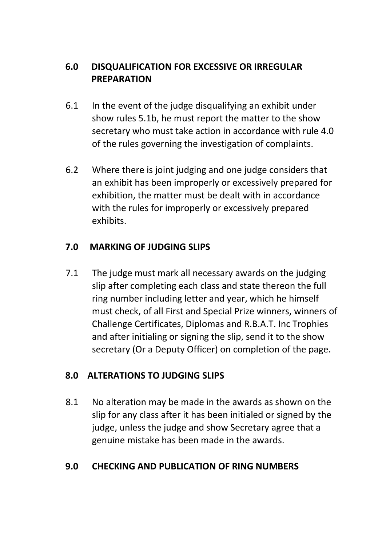# **6.0 DISQUALIFICATION FOR EXCESSIVE OR IRREGULAR PREPARATION**

- 6.1 In the event of the judge disqualifying an exhibit under show rules 5.1b, he must report the matter to the show secretary who must take action in accordance with rule 4.0 of the rules governing the investigation of complaints.
- 6.2 Where there is joint judging and one judge considers that an exhibit has been improperly or excessively prepared for exhibition, the matter must be dealt with in accordance with the rules for improperly or excessively prepared exhibits.

# **7.0 MARKING OF JUDGING SLIPS**

7.1 The judge must mark all necessary awards on the judging slip after completing each class and state thereon the full ring number including letter and year, which he himself must check, of all First and Special Prize winners, winners of Challenge Certificates, Diplomas and R.B.A.T. Inc Trophies and after initialing or signing the slip, send it to the show secretary (Or a Deputy Officer) on completion of the page.

# **8.0 ALTERATIONS TO JUDGING SLIPS**

8.1 No alteration may be made in the awards as shown on the slip for any class after it has been initialed or signed by the judge, unless the judge and show Secretary agree that a genuine mistake has been made in the awards.

# **9.0 CHECKING AND PUBLICATION OF RING NUMBERS**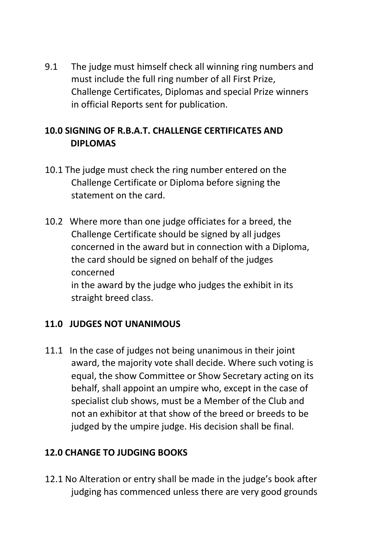9.1 The judge must himself check all winning ring numbers and must include the full ring number of all First Prize, Challenge Certificates, Diplomas and special Prize winners in official Reports sent for publication.

# **10.0 SIGNING OF R.B.A.T. CHALLENGE CERTIFICATES AND DIPLOMAS**

- 10.1 The judge must check the ring number entered on the Challenge Certificate or Diploma before signing the statement on the card.
- 10.2 Where more than one judge officiates for a breed, the Challenge Certificate should be signed by all judges concerned in the award but in connection with a Diploma, the card should be signed on behalf of the judges concerned in the award by the judge who judges the exhibit in its straight breed class.

# **11.0 JUDGES NOT UNANIMOUS**

11.1 In the case of judges not being unanimous in their joint award, the majority vote shall decide. Where such voting is equal, the show Committee or Show Secretary acting on its behalf, shall appoint an umpire who, except in the case of specialist club shows, must be a Member of the Club and not an exhibitor at that show of the breed or breeds to be judged by the umpire judge. His decision shall be final.

# **12.0 CHANGE TO JUDGING BOOKS**

12.1 No Alteration or entry shall be made in the judge's book after judging has commenced unless there are very good grounds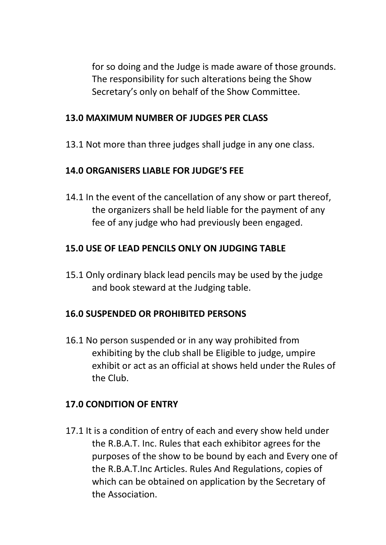for so doing and the Judge is made aware of those grounds. The responsibility for such alterations being the Show Secretary's only on behalf of the Show Committee.

#### **13.0 MAXIMUM NUMBER OF JUDGES PER CLASS**

13.1 Not more than three judges shall judge in any one class.

### **14.0 ORGANISERS LIABLE FOR JUDGE'S FEE**

14.1 In the event of the cancellation of any show or part thereof, the organizers shall be held liable for the payment of any fee of any judge who had previously been engaged.

#### **15.0 USE OF LEAD PENCILS ONLY ON JUDGING TABLE**

15.1 Only ordinary black lead pencils may be used by the judge and book steward at the Judging table.

#### **16.0 SUSPENDED OR PROHIBITED PERSONS**

16.1 No person suspended or in any way prohibited from exhibiting by the club shall be Eligible to judge, umpire exhibit or act as an official at shows held under the Rules of the Club.

#### **17.0 CONDITION OF ENTRY**

17.1 It is a condition of entry of each and every show held under the R.B.A.T. Inc. Rules that each exhibitor agrees for the purposes of the show to be bound by each and Every one of the R.B.A.T.Inc Articles. Rules And Regulations, copies of which can be obtained on application by the Secretary of the Association.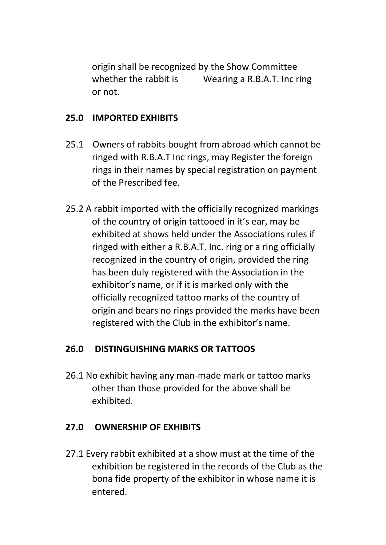origin shall be recognized by the Show Committee whether the rabbit is Wearing a R.B.A.T. Inc ring or not.

#### **25.0 IMPORTED EXHIBITS**

- 25.1 Owners of rabbits bought from abroad which cannot be ringed with R.B.A.T Inc rings, may Register the foreign rings in their names by special registration on payment of the Prescribed fee.
- 25.2 A rabbit imported with the officially recognized markings of the country of origin tattooed in it's ear, may be exhibited at shows held under the Associations rules if ringed with either a R.B.A.T. Inc. ring or a ring officially recognized in the country of origin, provided the ring has been duly registered with the Association in the exhibitor's name, or if it is marked only with the officially recognized tattoo marks of the country of origin and bears no rings provided the marks have been registered with the Club in the exhibitor's name.

#### **26.0 DISTINGUISHING MARKS OR TATTOOS**

26.1 No exhibit having any man-made mark or tattoo marks other than those provided for the above shall be exhibited.

#### **27.0 OWNERSHIP OF EXHIBITS**

27.1 Every rabbit exhibited at a show must at the time of the exhibition be registered in the records of the Club as the bona fide property of the exhibitor in whose name it is entered.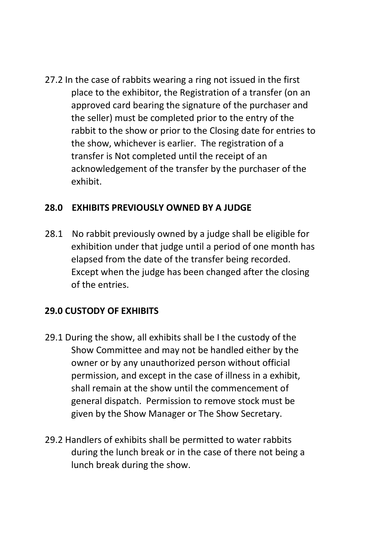27.2 In the case of rabbits wearing a ring not issued in the first place to the exhibitor, the Registration of a transfer (on an approved card bearing the signature of the purchaser and the seller) must be completed prior to the entry of the rabbit to the show or prior to the Closing date for entries to the show, whichever is earlier. The registration of a transfer is Not completed until the receipt of an acknowledgement of the transfer by the purchaser of the exhibit.

#### **28.0 EXHIBITS PREVIOUSLY OWNED BY A JUDGE**

28.1 No rabbit previously owned by a judge shall be eligible for exhibition under that judge until a period of one month has elapsed from the date of the transfer being recorded. Except when the judge has been changed after the closing of the entries.

# **29.0 CUSTODY OF EXHIBITS**

- 29.1 During the show, all exhibits shall be I the custody of the Show Committee and may not be handled either by the owner or by any unauthorized person without official permission, and except in the case of illness in a exhibit, shall remain at the show until the commencement of general dispatch. Permission to remove stock must be given by the Show Manager or The Show Secretary.
- 29.2 Handlers of exhibits shall be permitted to water rabbits during the lunch break or in the case of there not being a lunch break during the show.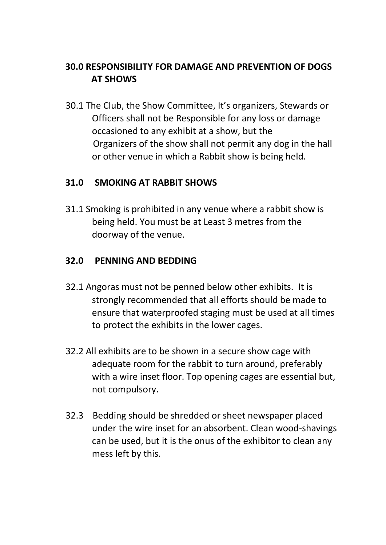# **30.0 RESPONSIBILITY FOR DAMAGE AND PREVENTION OF DOGS AT SHOWS**

30.1 The Club, the Show Committee, It's organizers, Stewards or Officers shall not be Responsible for any loss or damage occasioned to any exhibit at a show, but the Organizers of the show shall not permit any dog in the hall or other venue in which a Rabbit show is being held.

#### **31.0 SMOKING AT RABBIT SHOWS**

31.1 Smoking is prohibited in any venue where a rabbit show is being held. You must be at Least 3 metres from the doorway of the venue.

### **32.0 PENNING AND BEDDING**

- 32.1 Angoras must not be penned below other exhibits. It is strongly recommended that all efforts should be made to ensure that waterproofed staging must be used at all times to protect the exhibits in the lower cages.
- 32.2 All exhibits are to be shown in a secure show cage with adequate room for the rabbit to turn around, preferably with a wire inset floor. Top opening cages are essential but, not compulsory.
- 32.3 Bedding should be shredded or sheet newspaper placed under the wire inset for an absorbent. Clean wood-shavings can be used, but it is the onus of the exhibitor to clean any mess left by this.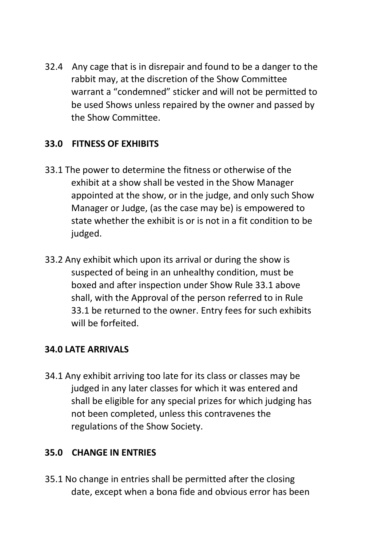32.4 Any cage that is in disrepair and found to be a danger to the rabbit may, at the discretion of the Show Committee warrant a "condemned" sticker and will not be permitted to be used Shows unless repaired by the owner and passed by the Show Committee.

# **33.0 FITNESS OF EXHIBITS**

- 33.1 The power to determine the fitness or otherwise of the exhibit at a show shall be vested in the Show Manager appointed at the show, or in the judge, and only such Show Manager or Judge, (as the case may be) is empowered to state whether the exhibit is or is not in a fit condition to be judged.
- 33.2 Any exhibit which upon its arrival or during the show is suspected of being in an unhealthy condition, must be boxed and after inspection under Show Rule 33.1 above shall, with the Approval of the person referred to in Rule 33.1 be returned to the owner. Entry fees for such exhibits will be forfeited.

#### **34.0 LATE ARRIVALS**

34.1 Any exhibit arriving too late for its class or classes may be judged in any later classes for which it was entered and shall be eligible for any special prizes for which judging has not been completed, unless this contravenes the regulations of the Show Society.

#### **35.0 CHANGE IN ENTRIES**

35.1 No change in entries shall be permitted after the closing date, except when a bona fide and obvious error has been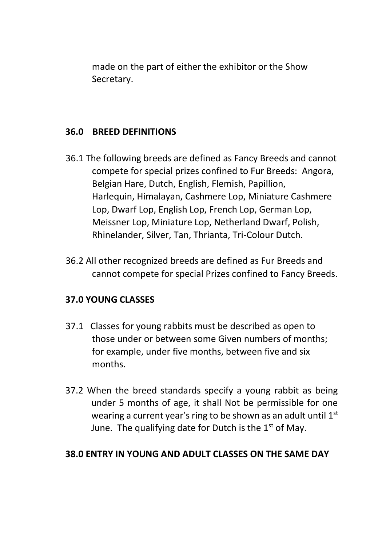made on the part of either the exhibitor or the Show Secretary.

#### **36.0 BREED DEFINITIONS**

- 36.1 The following breeds are defined as Fancy Breeds and cannot compete for special prizes confined to Fur Breeds: Angora, Belgian Hare, Dutch, English, Flemish, Papillion, Harlequin, Himalayan, Cashmere Lop, Miniature Cashmere Lop, Dwarf Lop, English Lop, French Lop, German Lop, Meissner Lop, Miniature Lop, Netherland Dwarf, Polish, Rhinelander, Silver, Tan, Thrianta, Tri-Colour Dutch.
- 36.2 All other recognized breeds are defined as Fur Breeds and cannot compete for special Prizes confined to Fancy Breeds.

# **37.0 YOUNG CLASSES**

- 37.1 Classes for young rabbits must be described as open to those under or between some Given numbers of months; for example, under five months, between five and six months.
- 37.2 When the breed standards specify a young rabbit as being under 5 months of age, it shall Not be permissible for one wearing a current year's ring to be shown as an adult until 1st June. The qualifying date for Dutch is the  $1<sup>st</sup>$  of May.

#### **38.0 ENTRY IN YOUNG AND ADULT CLASSES ON THE SAME DAY**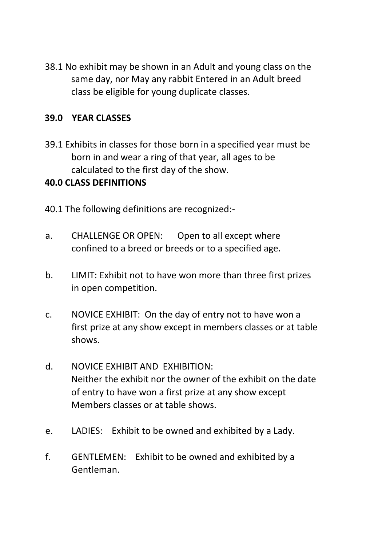38.1 No exhibit may be shown in an Adult and young class on the same day, nor May any rabbit Entered in an Adult breed class be eligible for young duplicate classes.

#### **39.0 YEAR CLASSES**

39.1 Exhibits in classes for those born in a specified year must be born in and wear a ring of that year, all ages to be calculated to the first day of the show.

#### **40.0 CLASS DEFINITIONS**

- 40.1 The following definitions are recognized:-
- a. CHALLENGE OR OPEN: Open to all except where confined to a breed or breeds or to a specified age.
- b. LIMIT: Exhibit not to have won more than three first prizes in open competition.
- c. NOVICE EXHIBIT: On the day of entry not to have won a first prize at any show except in members classes or at table shows.
- d. NOVICE EXHIBIT AND EXHIBITION: Neither the exhibit nor the owner of the exhibit on the date of entry to have won a first prize at any show except Members classes or at table shows.
- e. LADIES: Exhibit to be owned and exhibited by a Lady.
- f. GENTLEMEN: Exhibit to be owned and exhibited by a Gentleman.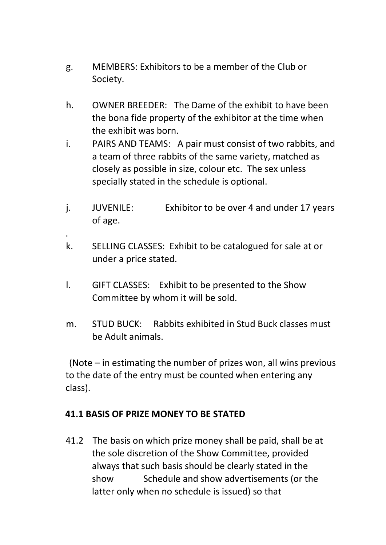- g. MEMBERS: Exhibitors to be a member of the Club or Society.
- h. OWNER BREEDER: The Dame of the exhibit to have been the bona fide property of the exhibitor at the time when the exhibit was born.
- i. PAIRS AND TEAMS: A pair must consist of two rabbits, and a team of three rabbits of the same variety, matched as closely as possible in size, colour etc. The sex unless specially stated in the schedule is optional.
- j. JUVENILE: Exhibitor to be over 4 and under 17 years of age.
- k. SELLING CLASSES: Exhibit to be catalogued for sale at or under a price stated.
- l. GIFT CLASSES: Exhibit to be presented to the Show Committee by whom it will be sold.
- m. STUD BUCK: Rabbits exhibited in Stud Buck classes must be Adult animals.

(Note – in estimating the number of prizes won, all wins previous to the date of the entry must be counted when entering any class).

#### **41.1 BASIS OF PRIZE MONEY TO BE STATED**

.

41.2 The basis on which prize money shall be paid, shall be at the sole discretion of the Show Committee, provided always that such basis should be clearly stated in the show Schedule and show advertisements (or the latter only when no schedule is issued) so that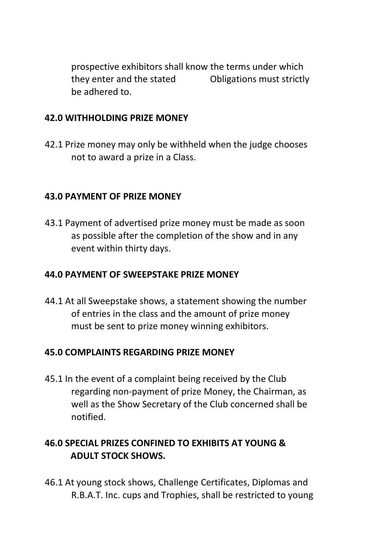prospective exhibitors shall know the terms under which they enter and the stated Obligations must strictly be adhered to.

#### **42.0 WITHHOLDING PRIZE MONEY**

42.1 Prize money may only be withheld when the judge chooses not to award a prize in a Class.

#### **43.0 PAYMENT OF PRIZE MONEY**

43.1 Payment of advertised prize money must be made as soon as possible after the completion of the show and in any event within thirty days.

#### **44.0 PAYMENT OF SWEEPSTAKE PRIZE MONEY**

44.1 At all Sweepstake shows, a statement showing the number of entries in the class and the amount of prize money must be sent to prize money winning exhibitors.

#### **45.0 COMPLAINTS REGARDING PRIZE MONEY**

45.1 In the event of a complaint being received by the Club regarding non-payment of prize Money, the Chairman, as well as the Show Secretary of the Club concerned shall be notified.

# **46.0 SPECIAL PRIZES CONFINED TO EXHIBITS AT YOUNG & ADULT STOCK SHOWS.**

46.1 At young stock shows, Challenge Certificates, Diplomas and R.B.A.T. Inc. cups and Trophies, shall be restricted to young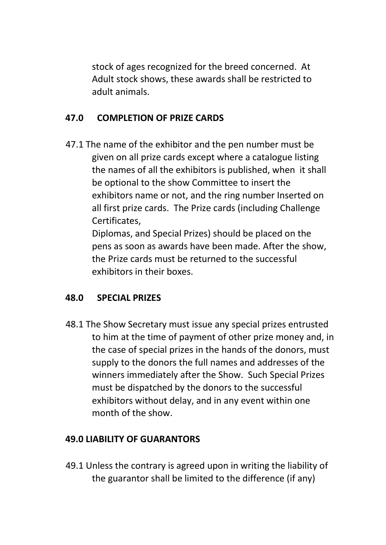stock of ages recognized for the breed concerned. At Adult stock shows, these awards shall be restricted to adult animals.

### **47.0 COMPLETION OF PRIZE CARDS**

47.1 The name of the exhibitor and the pen number must be given on all prize cards except where a catalogue listing the names of all the exhibitors is published, when it shall be optional to the show Committee to insert the exhibitors name or not, and the ring number Inserted on all first prize cards. The Prize cards (including Challenge Certificates,

 Diplomas, and Special Prizes) should be placed on the pens as soon as awards have been made. After the show, the Prize cards must be returned to the successful exhibitors in their boxes.

#### **48.0 SPECIAL PRIZES**

48.1 The Show Secretary must issue any special prizes entrusted to him at the time of payment of other prize money and, in the case of special prizes in the hands of the donors, must supply to the donors the full names and addresses of the winners immediately after the Show. Such Special Prizes must be dispatched by the donors to the successful exhibitors without delay, and in any event within one month of the show.

#### **49.0 LIABILITY OF GUARANTORS**

49.1 Unless the contrary is agreed upon in writing the liability of the guarantor shall be limited to the difference (if any)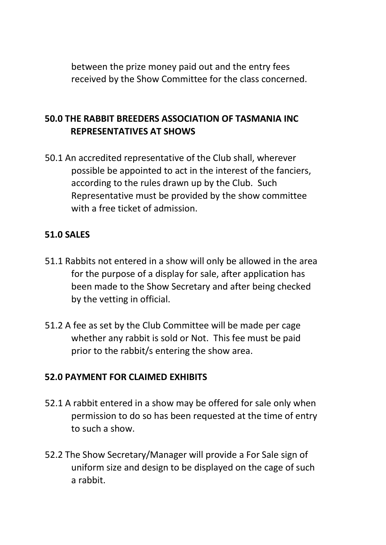between the prize money paid out and the entry fees received by the Show Committee for the class concerned.

## **50.0 THE RABBIT BREEDERS ASSOCIATION OF TASMANIA INC REPRESENTATIVES AT SHOWS**

50.1 An accredited representative of the Club shall, wherever possible be appointed to act in the interest of the fanciers, according to the rules drawn up by the Club. Such Representative must be provided by the show committee with a free ticket of admission.

#### **51.0 SALES**

- 51.1 Rabbits not entered in a show will only be allowed in the area for the purpose of a display for sale, after application has been made to the Show Secretary and after being checked by the vetting in official.
- 51.2 A fee as set by the Club Committee will be made per cage whether any rabbit is sold or Not. This fee must be paid prior to the rabbit/s entering the show area.

#### **52.0 PAYMENT FOR CLAIMED EXHIBITS**

- 52.1 A rabbit entered in a show may be offered for sale only when permission to do so has been requested at the time of entry to such a show.
- 52.2 The Show Secretary/Manager will provide a For Sale sign of uniform size and design to be displayed on the cage of such a rabbit.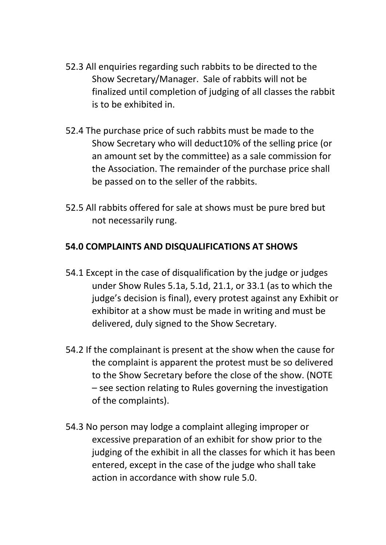- 52.3 All enquiries regarding such rabbits to be directed to the Show Secretary/Manager. Sale of rabbits will not be finalized until completion of judging of all classes the rabbit is to be exhibited in.
- 52.4 The purchase price of such rabbits must be made to the Show Secretary who will deduct10% of the selling price (or an amount set by the committee) as a sale commission for the Association. The remainder of the purchase price shall be passed on to the seller of the rabbits.
- 52.5 All rabbits offered for sale at shows must be pure bred but not necessarily rung.

### **54.0 COMPLAINTS AND DISQUALIFICATIONS AT SHOWS**

- 54.1 Except in the case of disqualification by the judge or judges under Show Rules 5.1a, 5.1d, 21.1, or 33.1 (as to which the judge's decision is final), every protest against any Exhibit or exhibitor at a show must be made in writing and must be delivered, duly signed to the Show Secretary.
- 54.2 If the complainant is present at the show when the cause for the complaint is apparent the protest must be so delivered to the Show Secretary before the close of the show. (NOTE – see section relating to Rules governing the investigation of the complaints).
- 54.3 No person may lodge a complaint alleging improper or excessive preparation of an exhibit for show prior to the judging of the exhibit in all the classes for which it has been entered, except in the case of the judge who shall take action in accordance with show rule 5.0.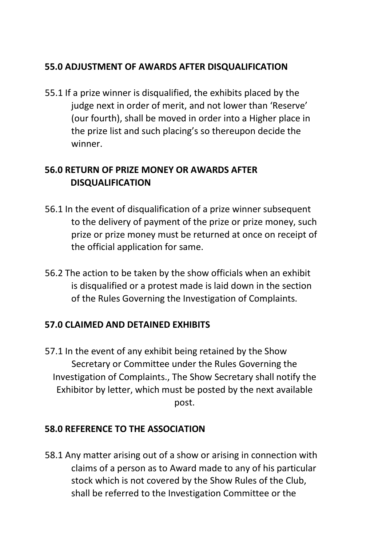# **55.0 ADJUSTMENT OF AWARDS AFTER DISQUALIFICATION**

55.1 If a prize winner is disqualified, the exhibits placed by the judge next in order of merit, and not lower than 'Reserve' (our fourth), shall be moved in order into a Higher place in the prize list and such placing's so thereupon decide the winner.

# **56.0 RETURN OF PRIZE MONEY OR AWARDS AFTER DISQUALIFICATION**

- 56.1 In the event of disqualification of a prize winner subsequent to the delivery of payment of the prize or prize money, such prize or prize money must be returned at once on receipt of the official application for same.
- 56.2 The action to be taken by the show officials when an exhibit is disqualified or a protest made is laid down in the section of the Rules Governing the Investigation of Complaints.

#### **57.0 CLAIMED AND DETAINED EXHIBITS**

57.1 In the event of any exhibit being retained by the Show Secretary or Committee under the Rules Governing the Investigation of Complaints., The Show Secretary shall notify the Exhibitor by letter, which must be posted by the next available post.

# **58.0 REFERENCE TO THE ASSOCIATION**

58.1 Any matter arising out of a show or arising in connection with claims of a person as to Award made to any of his particular stock which is not covered by the Show Rules of the Club, shall be referred to the Investigation Committee or the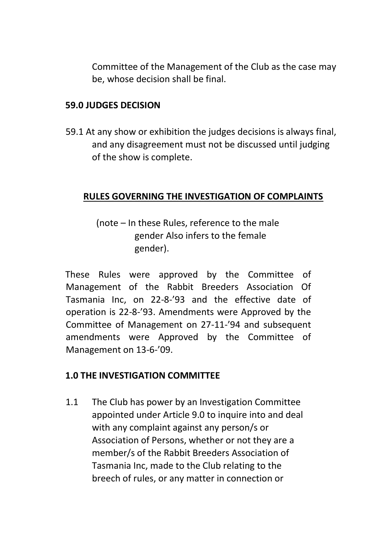Committee of the Management of the Club as the case may be, whose decision shall be final.

#### **59.0 JUDGES DECISION**

59.1 At any show or exhibition the judges decisions is always final, and any disagreement must not be discussed until judging of the show is complete.

#### **RULES GOVERNING THE INVESTIGATION OF COMPLAINTS**

(note – In these Rules, reference to the male gender Also infers to the female gender).

These Rules were approved by the Committee of Management of the Rabbit Breeders Association Of Tasmania Inc, on 22-8-'93 and the effective date of operation is 22-8-'93. Amendments were Approved by the Committee of Management on 27-11-'94 and subsequent amendments were Approved by the Committee of Management on 13-6-'09.

#### **1.0 THE INVESTIGATION COMMITTEE**

1.1 The Club has power by an Investigation Committee appointed under Article 9.0 to inquire into and deal with any complaint against any person/s or Association of Persons, whether or not they are a member/s of the Rabbit Breeders Association of Tasmania Inc, made to the Club relating to the breech of rules, or any matter in connection or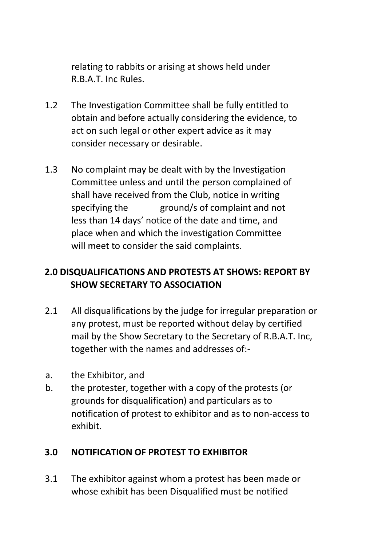relating to rabbits or arising at shows held under R.B.A.T. Inc Rules.

- 1.2 The Investigation Committee shall be fully entitled to obtain and before actually considering the evidence, to act on such legal or other expert advice as it may consider necessary or desirable.
- 1.3 No complaint may be dealt with by the Investigation Committee unless and until the person complained of shall have received from the Club, notice in writing specifying the ground/s of complaint and not less than 14 days' notice of the date and time, and place when and which the investigation Committee will meet to consider the said complaints.

# **2.0 DISQUALIFICATIONS AND PROTESTS AT SHOWS: REPORT BY SHOW SECRETARY TO ASSOCIATION**

- 2.1 All disqualifications by the judge for irregular preparation or any protest, must be reported without delay by certified mail by the Show Secretary to the Secretary of R.B.A.T. Inc, together with the names and addresses of:-
- a. the Exhibitor, and
- b. the protester, together with a copy of the protests (or grounds for disqualification) and particulars as to notification of protest to exhibitor and as to non-access to exhibit.

#### **3.0 NOTIFICATION OF PROTEST TO EXHIBITOR**

3.1 The exhibitor against whom a protest has been made or whose exhibit has been Disqualified must be notified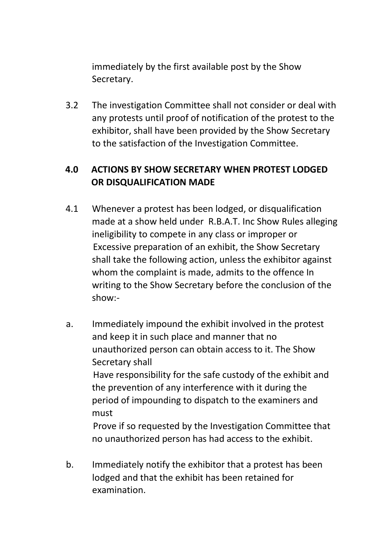immediately by the first available post by the Show Secretary.

3.2 The investigation Committee shall not consider or deal with any protests until proof of notification of the protest to the exhibitor, shall have been provided by the Show Secretary to the satisfaction of the Investigation Committee.

# **4.0 ACTIONS BY SHOW SECRETARY WHEN PROTEST LODGED OR DISQUALIFICATION MADE**

- 4.1 Whenever a protest has been lodged, or disqualification made at a show held under R.B.A.T. Inc Show Rules alleging ineligibility to compete in any class or improper or Excessive preparation of an exhibit, the Show Secretary shall take the following action, unless the exhibitor against whom the complaint is made, admits to the offence In writing to the Show Secretary before the conclusion of the show:-
- a. Immediately impound the exhibit involved in the protest and keep it in such place and manner that no unauthorized person can obtain access to it. The Show Secretary shall Have responsibility for the safe custody of the exhibit and the prevention of any interference with it during the period of impounding to dispatch to the examiners and must Prove if so requested by the Investigation Committee that no unauthorized person has had access to the exhibit.
- b. Immediately notify the exhibitor that a protest has been lodged and that the exhibit has been retained for examination.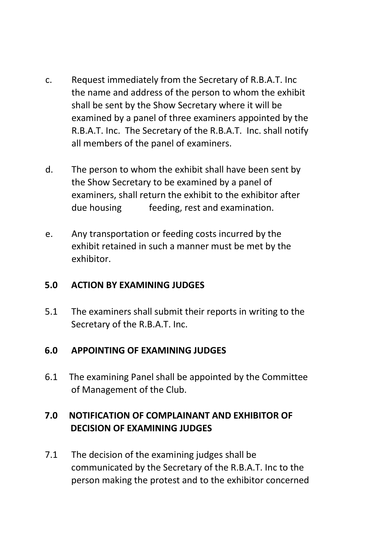- c. Request immediately from the Secretary of R.B.A.T. Inc the name and address of the person to whom the exhibit shall be sent by the Show Secretary where it will be examined by a panel of three examiners appointed by the R.B.A.T. Inc. The Secretary of the R.B.A.T. Inc. shall notify all members of the panel of examiners.
- d. The person to whom the exhibit shall have been sent by the Show Secretary to be examined by a panel of examiners, shall return the exhibit to the exhibitor after due housing feeding, rest and examination.
- e. Any transportation or feeding costs incurred by the exhibit retained in such a manner must be met by the exhibitor.

#### **5.0 ACTION BY EXAMINING JUDGES**

5.1 The examiners shall submit their reports in writing to the Secretary of the R.B.A.T. Inc.

#### **6.0 APPOINTING OF EXAMINING JUDGES**

6.1 The examining Panel shall be appointed by the Committee of Management of the Club.

# **7.0 NOTIFICATION OF COMPLAINANT AND EXHIBITOR OF DECISION OF EXAMINING JUDGES**

7.1 The decision of the examining judges shall be communicated by the Secretary of the R.B.A.T. Inc to the person making the protest and to the exhibitor concerned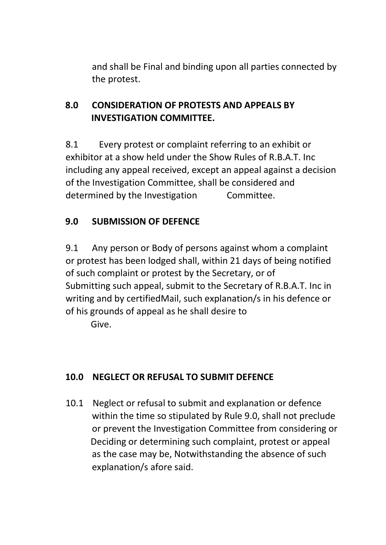and shall be Final and binding upon all parties connected by the protest.

# **8.0 CONSIDERATION OF PROTESTS AND APPEALS BY INVESTIGATION COMMITTEE.**

8.1 Every protest or complaint referring to an exhibit or exhibitor at a show held under the Show Rules of R.B.A.T. Inc including any appeal received, except an appeal against a decision of the Investigation Committee, shall be considered and determined by the Investigation Committee.

# **9.0 SUBMISSION OF DEFENCE**

9.1 Any person or Body of persons against whom a complaint or protest has been lodged shall, within 21 days of being notified of such complaint or protest by the Secretary, or of Submitting such appeal, submit to the Secretary of R.B.A.T. Inc in writing and by certifiedMail, such explanation/s in his defence or of his grounds of appeal as he shall desire to Give.

# **10.0 NEGLECT OR REFUSAL TO SUBMIT DEFENCE**

10.1 Neglect or refusal to submit and explanation or defence within the time so stipulated by Rule 9.0, shall not preclude or prevent the Investigation Committee from considering or Deciding or determining such complaint, protest or appeal as the case may be, Notwithstanding the absence of such explanation/s afore said.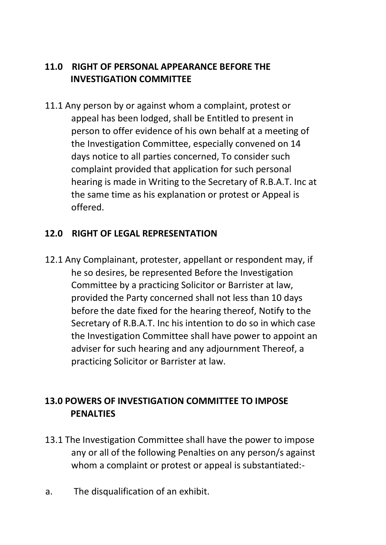# **11.0 RIGHT OF PERSONAL APPEARANCE BEFORE THE INVESTIGATION COMMITTEE**

11.1 Any person by or against whom a complaint, protest or appeal has been lodged, shall be Entitled to present in person to offer evidence of his own behalf at a meeting of the Investigation Committee, especially convened on 14 days notice to all parties concerned, To consider such complaint provided that application for such personal hearing is made in Writing to the Secretary of R.B.A.T. Inc at the same time as his explanation or protest or Appeal is offered.

#### **12.0 RIGHT OF LEGAL REPRESENTATION**

12.1 Any Complainant, protester, appellant or respondent may, if he so desires, be represented Before the Investigation Committee by a practicing Solicitor or Barrister at law, provided the Party concerned shall not less than 10 days before the date fixed for the hearing thereof, Notify to the Secretary of R.B.A.T. Inc his intention to do so in which case the Investigation Committee shall have power to appoint an adviser for such hearing and any adjournment Thereof, a practicing Solicitor or Barrister at law.

# **13.0 POWERS OF INVESTIGATION COMMITTEE TO IMPOSE PENALTIES**

- 13.1 The Investigation Committee shall have the power to impose any or all of the following Penalties on any person/s against whom a complaint or protest or appeal is substantiated:-
- a. The disqualification of an exhibit.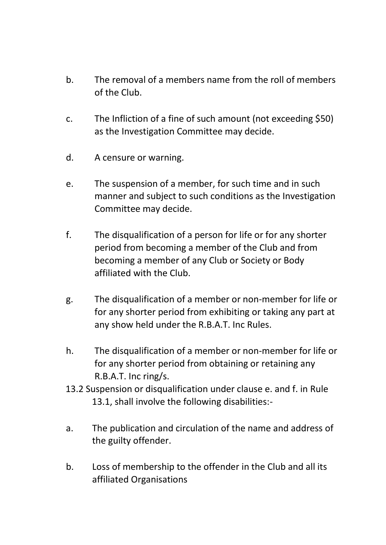- b. The removal of a members name from the roll of members of the Club.
- c. The Infliction of a fine of such amount (not exceeding \$50) as the Investigation Committee may decide.
- d. A censure or warning.
- e. The suspension of a member, for such time and in such manner and subject to such conditions as the Investigation Committee may decide.
- f. The disqualification of a person for life or for any shorter period from becoming a member of the Club and from becoming a member of any Club or Society or Body affiliated with the Club.
- g. The disqualification of a member or non-member for life or for any shorter period from exhibiting or taking any part at any show held under the R.B.A.T. Inc Rules.
- h. The disqualification of a member or non-member for life or for any shorter period from obtaining or retaining any R.B.A.T. Inc ring/s.
- 13.2 Suspension or disqualification under clause e. and f. in Rule 13.1, shall involve the following disabilities:-
- a. The publication and circulation of the name and address of the guilty offender.
- b. Loss of membership to the offender in the Club and all its affiliated Organisations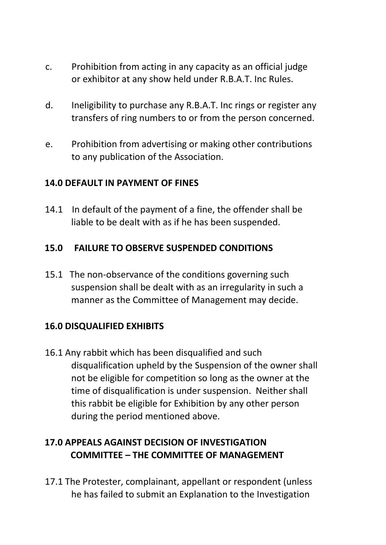- c. Prohibition from acting in any capacity as an official judge or exhibitor at any show held under R.B.A.T. Inc Rules.
- d. Ineligibility to purchase any R.B.A.T. Inc rings or register any transfers of ring numbers to or from the person concerned.
- e. Prohibition from advertising or making other contributions to any publication of the Association.

#### **14.0 DEFAULT IN PAYMENT OF FINES**

14.1 In default of the payment of a fine, the offender shall be liable to be dealt with as if he has been suspended.

# **15.0 FAILURE TO OBSERVE SUSPENDED CONDITIONS**

15.1 The non-observance of the conditions governing such suspension shall be dealt with as an irregularity in such a manner as the Committee of Management may decide.

# **16.0 DISQUALIFIED EXHIBITS**

16.1 Any rabbit which has been disqualified and such disqualification upheld by the Suspension of the owner shall not be eligible for competition so long as the owner at the time of disqualification is under suspension. Neither shall this rabbit be eligible for Exhibition by any other person during the period mentioned above.

# **17.0 APPEALS AGAINST DECISION OF INVESTIGATION COMMITTEE – THE COMMITTEE OF MANAGEMENT**

17.1 The Protester, complainant, appellant or respondent (unless he has failed to submit an Explanation to the Investigation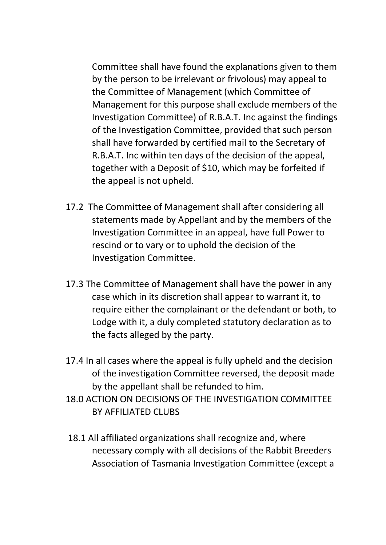Committee shall have found the explanations given to them by the person to be irrelevant or frivolous) may appeal to the Committee of Management (which Committee of Management for this purpose shall exclude members of the Investigation Committee) of R.B.A.T. Inc against the findings of the Investigation Committee, provided that such person shall have forwarded by certified mail to the Secretary of R.B.A.T. Inc within ten days of the decision of the appeal, together with a Deposit of \$10, which may be forfeited if the appeal is not upheld.

- 17.2 The Committee of Management shall after considering all statements made by Appellant and by the members of the Investigation Committee in an appeal, have full Power to rescind or to vary or to uphold the decision of the Investigation Committee.
- 17.3 The Committee of Management shall have the power in any case which in its discretion shall appear to warrant it, to require either the complainant or the defendant or both, to Lodge with it, a duly completed statutory declaration as to the facts alleged by the party.
- 17.4 In all cases where the appeal is fully upheld and the decision of the investigation Committee reversed, the deposit made by the appellant shall be refunded to him.
- 18.0 ACTION ON DECISIONS OF THE INVESTIGATION COMMITTEE BY AFFILIATED CLUBS
- 18.1 All affiliated organizations shall recognize and, where necessary comply with all decisions of the Rabbit Breeders Association of Tasmania Investigation Committee (except a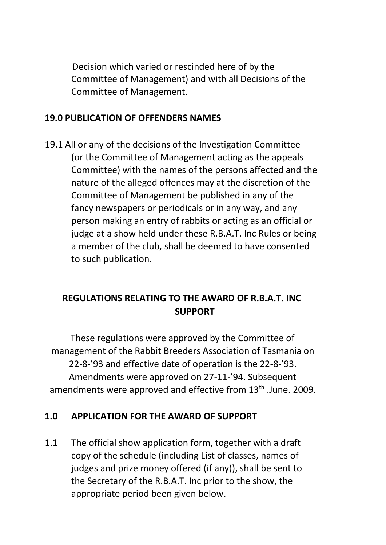Decision which varied or rescinded here of by the Committee of Management) and with all Decisions of the Committee of Management.

#### **19.0 PUBLICATION OF OFFENDERS NAMES**

19.1 All or any of the decisions of the Investigation Committee (or the Committee of Management acting as the appeals Committee) with the names of the persons affected and the nature of the alleged offences may at the discretion of the Committee of Management be published in any of the fancy newspapers or periodicals or in any way, and any person making an entry of rabbits or acting as an official or judge at a show held under these R.B.A.T. Inc Rules or being a member of the club, shall be deemed to have consented to such publication.

# **REGULATIONS RELATING TO THE AWARD OF R.B.A.T. INC SUPPORT**

These regulations were approved by the Committee of management of the Rabbit Breeders Association of Tasmania on 22-8-'93 and effective date of operation is the 22-8-'93. Amendments were approved on 27-11-'94. Subsequent amendments were approved and effective from 13<sup>th</sup> .June. 2009.

#### **1.0 APPLICATION FOR THE AWARD OF SUPPORT**

1.1 The official show application form, together with a draft copy of the schedule (including List of classes, names of judges and prize money offered (if any)), shall be sent to the Secretary of the R.B.A.T. Inc prior to the show, the appropriate period been given below.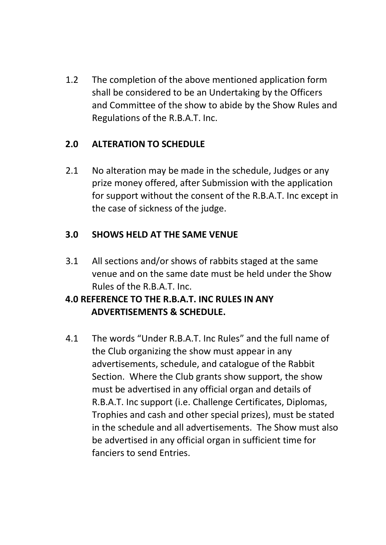1.2 The completion of the above mentioned application form shall be considered to be an Undertaking by the Officers and Committee of the show to abide by the Show Rules and Regulations of the R.B.A.T. Inc.

# **2.0 ALTERATION TO SCHEDULE**

2.1 No alteration may be made in the schedule, Judges or any prize money offered, after Submission with the application for support without the consent of the R.B.A.T. Inc except in the case of sickness of the judge.

# **3.0 SHOWS HELD AT THE SAME VENUE**

3.1 All sections and/or shows of rabbits staged at the same venue and on the same date must be held under the Show Rules of the R.B.A.T. Inc.

# **4.0 REFERENCE TO THE R.B.A.T. INC RULES IN ANY ADVERTISEMENTS & SCHEDULE.**

4.1 The words "Under R.B.A.T. Inc Rules" and the full name of the Club organizing the show must appear in any advertisements, schedule, and catalogue of the Rabbit Section. Where the Club grants show support, the show must be advertised in any official organ and details of R.B.A.T. Inc support (i.e. Challenge Certificates, Diplomas, Trophies and cash and other special prizes), must be stated in the schedule and all advertisements. The Show must also be advertised in any official organ in sufficient time for fanciers to send Entries.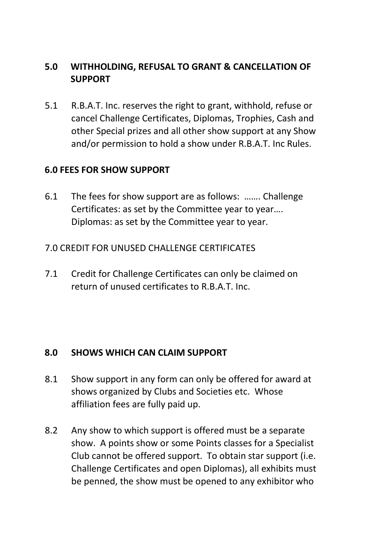# **5.0 WITHHOLDING, REFUSAL TO GRANT & CANCELLATION OF SUPPORT**

5.1 R.B.A.T. Inc. reserves the right to grant, withhold, refuse or cancel Challenge Certificates, Diplomas, Trophies, Cash and other Special prizes and all other show support at any Show and/or permission to hold a show under R.B.A.T. Inc Rules.

#### **6.0 FEES FOR SHOW SUPPORT**

- 6.1 The fees for show support are as follows: ……. Challenge Certificates: as set by the Committee year to year…. Diplomas: as set by the Committee year to year.
- 7.0 CREDIT FOR UNUSED CHALLENGE CERTIFICATES
- 7.1 Credit for Challenge Certificates can only be claimed on return of unused certificates to R.B.A.T. Inc.

#### **8.0 SHOWS WHICH CAN CLAIM SUPPORT**

- 8.1 Show support in any form can only be offered for award at shows organized by Clubs and Societies etc. Whose affiliation fees are fully paid up.
- 8.2 Any show to which support is offered must be a separate show. A points show or some Points classes for a Specialist Club cannot be offered support. To obtain star support (i.e. Challenge Certificates and open Diplomas), all exhibits must be penned, the show must be opened to any exhibitor who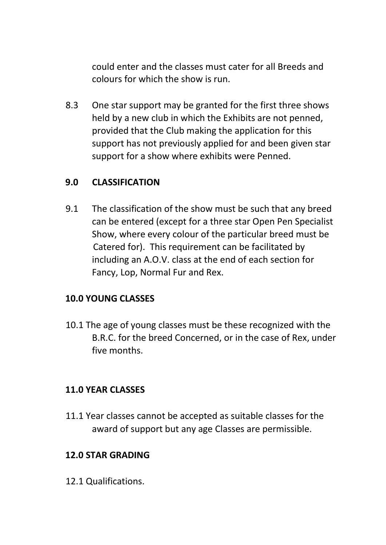could enter and the classes must cater for all Breeds and colours for which the show is run.

8.3 One star support may be granted for the first three shows held by a new club in which the Exhibits are not penned, provided that the Club making the application for this support has not previously applied for and been given star support for a show where exhibits were Penned.

### **9.0 CLASSIFICATION**

9.1 The classification of the show must be such that any breed can be entered (except for a three star Open Pen Specialist Show, where every colour of the particular breed must be Catered for). This requirement can be facilitated by including an A.O.V. class at the end of each section for Fancy, Lop, Normal Fur and Rex.

# **10.0 YOUNG CLASSES**

10.1 The age of young classes must be these recognized with the B.R.C. for the breed Concerned, or in the case of Rex, under five months.

#### **11.0 YEAR CLASSES**

11.1 Year classes cannot be accepted as suitable classes for the award of support but any age Classes are permissible.

#### **12.0 STAR GRADING**

12.1 Qualifications.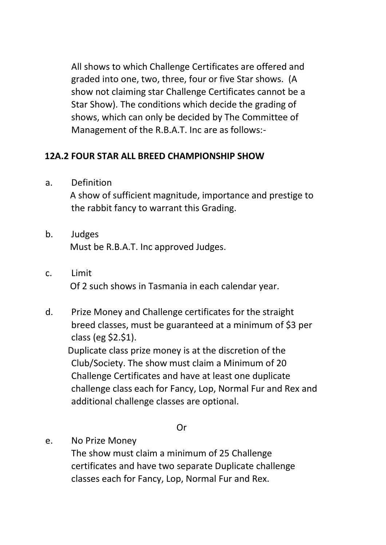All shows to which Challenge Certificates are offered and graded into one, two, three, four or five Star shows. (A show not claiming star Challenge Certificates cannot be a Star Show). The conditions which decide the grading of shows, which can only be decided by The Committee of Management of the R.B.A.T. Inc are as follows:-

# **12A.2 FOUR STAR ALL BREED CHAMPIONSHIP SHOW**

a. Definition

A show of sufficient magnitude, importance and prestige to the rabbit fancy to warrant this Grading.

- b. Judges Must be R.B.A.T. Inc approved Judges.
- c. Limit Of 2 such shows in Tasmania in each calendar year.
- d. Prize Money and Challenge certificates for the straight breed classes, must be guaranteed at a minimum of \$3 per class (eg \$2.\$1).

Duplicate class prize money is at the discretion of the Club/Society. The show must claim a Minimum of 20 Challenge Certificates and have at least one duplicate challenge class each for Fancy, Lop, Normal Fur and Rex and additional challenge classes are optional.

Or

e. No Prize Money The show must claim a minimum of 25 Challenge certificates and have two separate Duplicate challenge classes each for Fancy, Lop, Normal Fur and Rex.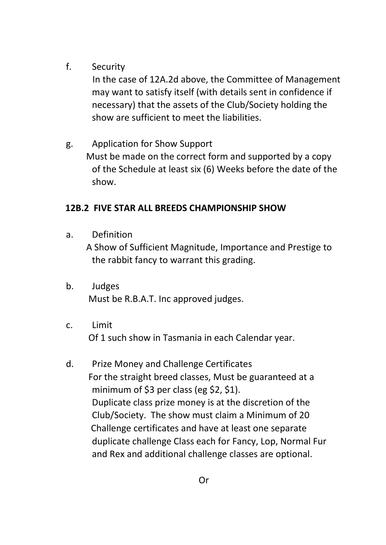# f. Security

In the case of 12A.2d above, the Committee of Management may want to satisfy itself (with details sent in confidence if necessary) that the assets of the Club/Society holding the show are sufficient to meet the liabilities.

g. Application for Show Support Must be made on the correct form and supported by a copy of the Schedule at least six (6) Weeks before the date of the show.

# **12B.2 FIVE STAR ALL BREEDS CHAMPIONSHIP SHOW**

a. Definition

A Show of Sufficient Magnitude, Importance and Prestige to the rabbit fancy to warrant this grading.

- b. Judges Must be R.B.A.T. Inc approved judges.
- c. Limit Of 1 such show in Tasmania in each Calendar year.
- d. Prize Money and Challenge Certificates For the straight breed classes, Must be guaranteed at a minimum of \$3 per class (eg \$2, \$1). Duplicate class prize money is at the discretion of the Club/Society. The show must claim a Minimum of 20 Challenge certificates and have at least one separate duplicate challenge Class each for Fancy, Lop, Normal Fur and Rex and additional challenge classes are optional.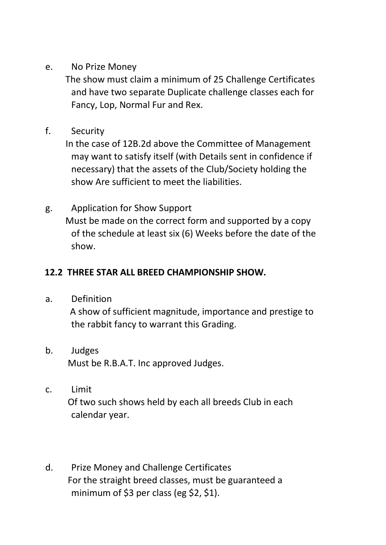e. No Prize Money

 The show must claim a minimum of 25 Challenge Certificates and have two separate Duplicate challenge classes each for Fancy, Lop, Normal Fur and Rex.

f. Security

 In the case of 12B.2d above the Committee of Management may want to satisfy itself (with Details sent in confidence if necessary) that the assets of the Club/Society holding the show Are sufficient to meet the liabilities.

g. Application for Show Support Must be made on the correct form and supported by a copy of the schedule at least six (6) Weeks before the date of the show.

# **12.2 THREE STAR ALL BREED CHAMPIONSHIP SHOW.**

a. Definition

 A show of sufficient magnitude, importance and prestige to the rabbit fancy to warrant this Grading.

- b. Judges Must be R.B.A.T. Inc approved Judges.
- c. Limit Of two such shows held by each all breeds Club in each calendar year.
- d. Prize Money and Challenge Certificates For the straight breed classes, must be guaranteed a minimum of \$3 per class (eg \$2, \$1).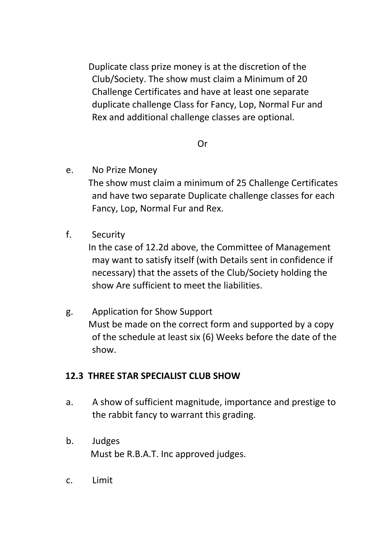Duplicate class prize money is at the discretion of the Club/Society. The show must claim a Minimum of 20 Challenge Certificates and have at least one separate duplicate challenge Class for Fancy, Lop, Normal Fur and Rex and additional challenge classes are optional.

#### Or

e. No Prize Money

 The show must claim a minimum of 25 Challenge Certificates and have two separate Duplicate challenge classes for each Fancy, Lop, Normal Fur and Rex.

f. Security

 In the case of 12.2d above, the Committee of Management may want to satisfy itself (with Details sent in confidence if necessary) that the assets of the Club/Society holding the show Are sufficient to meet the liabilities.

g. Application for Show Support Must be made on the correct form and supported by a copy of the schedule at least six (6) Weeks before the date of the show.

#### **12.3 THREE STAR SPECIALIST CLUB SHOW**

- a. A show of sufficient magnitude, importance and prestige to the rabbit fancy to warrant this grading.
- b. Judges Must be R.B.A.T. Inc approved judges.
- c. Limit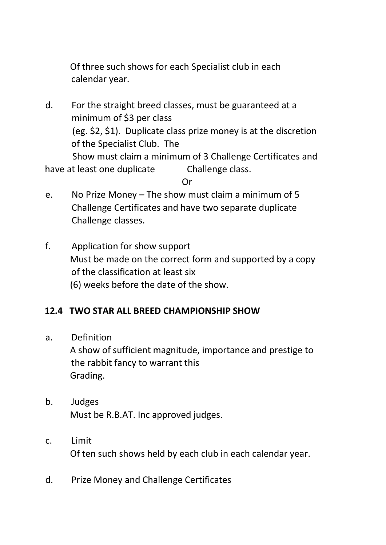Of three such shows for each Specialist club in each calendar year.

d. For the straight breed classes, must be guaranteed at a minimum of \$3 per class (eg. \$2, \$1). Duplicate class prize money is at the discretion of the Specialist Club. The Show must claim a minimum of 3 Challenge Certificates and

have at least one duplicate Challenge class.

Or

- e. No Prize Money The show must claim a minimum of 5 Challenge Certificates and have two separate duplicate Challenge classes.
- f. Application for show support Must be made on the correct form and supported by a copy of the classification at least six (6) weeks before the date of the show.

# **12.4 TWO STAR ALL BREED CHAMPIONSHIP SHOW**

a. Definition

A show of sufficient magnitude, importance and prestige to the rabbit fancy to warrant this Grading.

- b. Judges Must be R.B.AT. Inc approved judges.
- c. Limit Of ten such shows held by each club in each calendar year.
- d. Prize Money and Challenge Certificates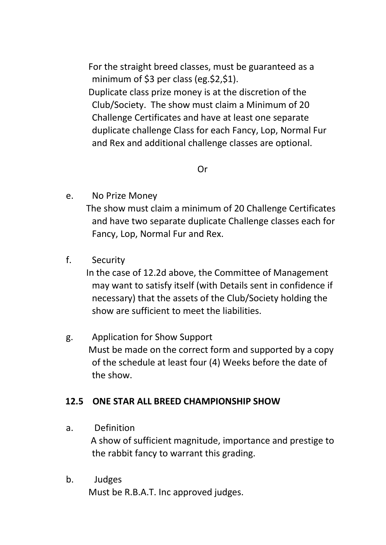For the straight breed classes, must be guaranteed as a minimum of \$3 per class (eg.\$2,\$1). Duplicate class prize money is at the discretion of the Club/Society. The show must claim a Minimum of 20 Challenge Certificates and have at least one separate duplicate challenge Class for each Fancy, Lop, Normal Fur and Rex and additional challenge classes are optional.

Or

e. No Prize Money

The show must claim a minimum of 20 Challenge Certificates and have two separate duplicate Challenge classes each for Fancy, Lop, Normal Fur and Rex.

f. Security

In the case of 12.2d above, the Committee of Management may want to satisfy itself (with Details sent in confidence if necessary) that the assets of the Club/Society holding the show are sufficient to meet the liabilities.

g. Application for Show Support Must be made on the correct form and supported by a copy of the schedule at least four (4) Weeks before the date of the show.

#### **12.5 ONE STAR ALL BREED CHAMPIONSHIP SHOW**

a. Definition

A show of sufficient magnitude, importance and prestige to the rabbit fancy to warrant this grading.

b. Judges Must be R.B.A.T. Inc approved judges.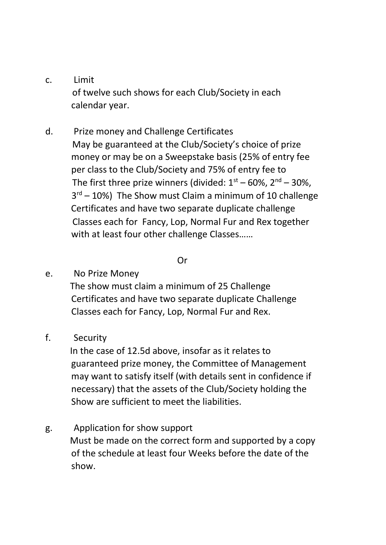- c. Limit of twelve such shows for each Club/Society in each calendar year.
- d. Prize money and Challenge Certificates May be guaranteed at the Club/Society's choice of prize money or may be on a Sweepstake basis (25% of entry fee per class to the Club/Society and 75% of entry fee to The first three prize winners (divided:  $1<sup>st</sup> - 60$ %,  $2<sup>nd</sup> - 30$ %, 3 rd – 10%) The Show must Claim a minimum of 10 challenge Certificates and have two separate duplicate challenge Classes each for Fancy, Lop, Normal Fur and Rex together with at least four other challenge Classes……

#### Or

e. No Prize Money

The show must claim a minimum of 25 Challenge Certificates and have two separate duplicate Challenge Classes each for Fancy, Lop, Normal Fur and Rex.

#### f. Security

In the case of 12.5d above, insofar as it relates to guaranteed prize money, the Committee of Management may want to satisfy itself (with details sent in confidence if necessary) that the assets of the Club/Society holding the Show are sufficient to meet the liabilities.

#### g. Application for show support

Must be made on the correct form and supported by a copy of the schedule at least four Weeks before the date of the show.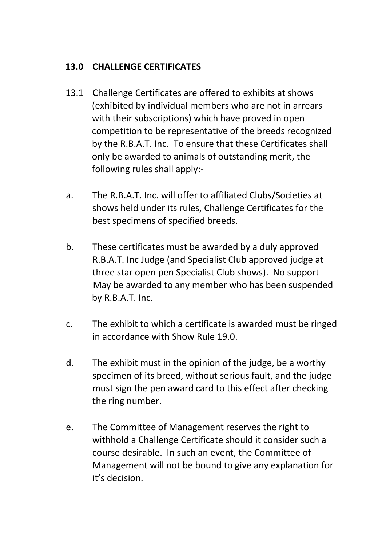# **13.0 CHALLENGE CERTIFICATES**

- 13.1 Challenge Certificates are offered to exhibits at shows (exhibited by individual members who are not in arrears with their subscriptions) which have proved in open competition to be representative of the breeds recognized by the R.B.A.T. Inc. To ensure that these Certificates shall only be awarded to animals of outstanding merit, the following rules shall apply:-
- a. The R.B.A.T. Inc. will offer to affiliated Clubs/Societies at shows held under its rules, Challenge Certificates for the best specimens of specified breeds.
- b. These certificates must be awarded by a duly approved R.B.A.T. Inc Judge (and Specialist Club approved judge at three star open pen Specialist Club shows). No support May be awarded to any member who has been suspended by R.B.A.T. Inc.
- c. The exhibit to which a certificate is awarded must be ringed in accordance with Show Rule 19.0.
- d. The exhibit must in the opinion of the judge, be a worthy specimen of its breed, without serious fault, and the judge must sign the pen award card to this effect after checking the ring number.
- e. The Committee of Management reserves the right to withhold a Challenge Certificate should it consider such a course desirable. In such an event, the Committee of Management will not be bound to give any explanation for it's decision.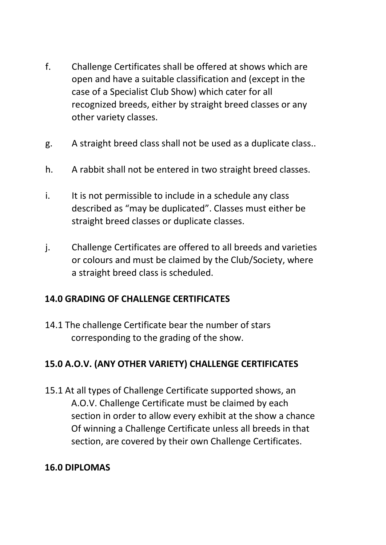- f. Challenge Certificates shall be offered at shows which are open and have a suitable classification and (except in the case of a Specialist Club Show) which cater for all recognized breeds, either by straight breed classes or any other variety classes.
- g. A straight breed class shall not be used as a duplicate class..
- h. A rabbit shall not be entered in two straight breed classes.
- i. It is not permissible to include in a schedule any class described as "may be duplicated". Classes must either be straight breed classes or duplicate classes.
- j. Challenge Certificates are offered to all breeds and varieties or colours and must be claimed by the Club/Society, where a straight breed class is scheduled.

# **14.0 GRADING OF CHALLENGE CERTIFICATES**

14.1 The challenge Certificate bear the number of stars corresponding to the grading of the show.

# **15.0 A.O.V. (ANY OTHER VARIETY) CHALLENGE CERTIFICATES**

15.1 At all types of Challenge Certificate supported shows, an A.O.V. Challenge Certificate must be claimed by each section in order to allow every exhibit at the show a chance Of winning a Challenge Certificate unless all breeds in that section, are covered by their own Challenge Certificates.

# **16.0 DIPLOMAS**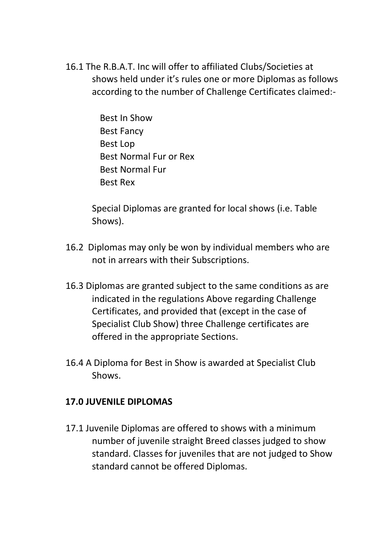- 16.1 The R.B.A.T. Inc will offer to affiliated Clubs/Societies at shows held under it's rules one or more Diplomas as follows according to the number of Challenge Certificates claimed:-
	- Best In Show Best Fancy Best Lop Best Normal Fur or Rex Best Normal Fur Best Rex

Special Diplomas are granted for local shows (i.e. Table Shows).

- 16.2 Diplomas may only be won by individual members who are not in arrears with their Subscriptions.
- 16.3 Diplomas are granted subject to the same conditions as are indicated in the regulations Above regarding Challenge Certificates, and provided that (except in the case of Specialist Club Show) three Challenge certificates are offered in the appropriate Sections.
- 16.4 A Diploma for Best in Show is awarded at Specialist Club Shows.

#### **17.0 JUVENILE DIPLOMAS**

17.1 Juvenile Diplomas are offered to shows with a minimum number of juvenile straight Breed classes judged to show standard. Classes for juveniles that are not judged to Show standard cannot be offered Diplomas.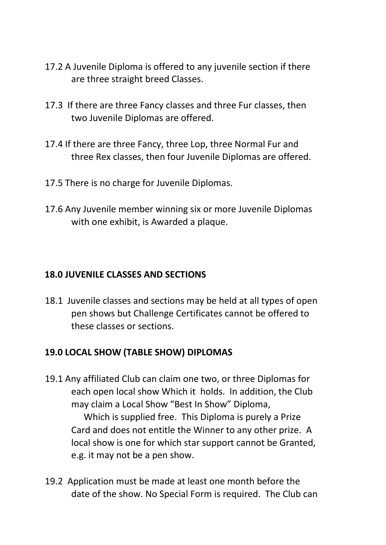- 17.2 A Juvenile Diploma is offered to any juvenile section if there are three straight breed Classes.
- 17.3 If there are three Fancy classes and three Fur classes, then two Juvenile Diplomas are offered.
- 17.4 If there are three Fancy, three Lop, three Normal Fur and three Rex classes, then four Juvenile Diplomas are offered.
- 17.5 There is no charge for Juvenile Diplomas.
- 17.6 Any Juvenile member winning six or more Juvenile Diplomas with one exhibit, is Awarded a plaque.

#### **18.0 JUVENILE CLASSES AND SECTIONS**

18.1 Juvenile classes and sections may be held at all types of open pen shows but Challenge Certificates cannot be offered to these classes or sections.

#### **19.0 LOCAL SHOW (TABLE SHOW) DIPLOMAS**

- 19.1 Any affiliated Club can claim one two, or three Diplomas for each open local show Which it holds. In addition, the Club may claim a Local Show "Best In Show" Diploma, Which is supplied free. This Diploma is purely a Prize Card and does not entitle the Winner to any other prize. A local show is one for which star support cannot be Granted, e.g. it may not be a pen show.
- 19.2 Application must be made at least one month before the date of the show. No Special Form is required. The Club can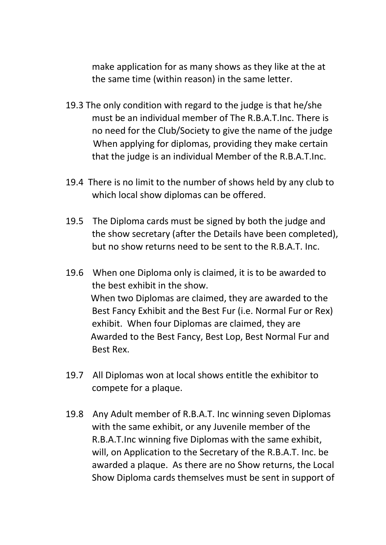make application for as many shows as they like at the at the same time (within reason) in the same letter.

- 19.3 The only condition with regard to the judge is that he/she must be an individual member of The R.B.A.T.Inc. There is no need for the Club/Society to give the name of the judge When applying for diplomas, providing they make certain that the judge is an individual Member of the R.B.A.T.Inc.
- 19.4 There is no limit to the number of shows held by any club to which local show diplomas can be offered.
- 19.5 The Diploma cards must be signed by both the judge and the show secretary (after the Details have been completed), but no show returns need to be sent to the R.B.A.T. Inc.
- 19.6 When one Diploma only is claimed, it is to be awarded to the best exhibit in the show. When two Diplomas are claimed, they are awarded to the Best Fancy Exhibit and the Best Fur (i.e. Normal Fur or Rex) exhibit. When four Diplomas are claimed, they are Awarded to the Best Fancy, Best Lop, Best Normal Fur and Best Rex.
- 19.7 All Diplomas won at local shows entitle the exhibitor to compete for a plaque.
- 19.8 Any Adult member of R.B.A.T. Inc winning seven Diplomas with the same exhibit, or any Juvenile member of the R.B.A.T.Inc winning five Diplomas with the same exhibit, will, on Application to the Secretary of the R.B.A.T. Inc. be awarded a plaque. As there are no Show returns, the Local Show Diploma cards themselves must be sent in support of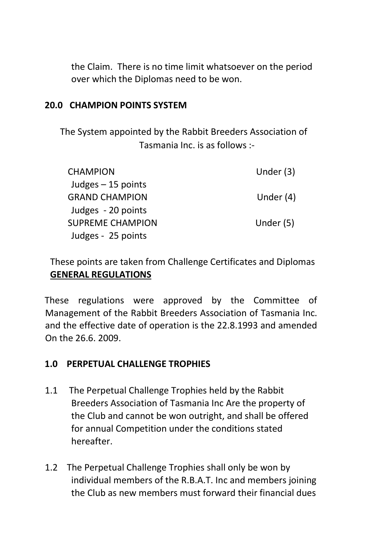the Claim. There is no time limit whatsoever on the period over which the Diplomas need to be won.

#### **20.0 CHAMPION POINTS SYSTEM**

The System appointed by the Rabbit Breeders Association of Tasmania Inc. is as follows :-

| <b>CHAMPION</b>       | Under $(3)$ |
|-----------------------|-------------|
| Judges $-15$ points   |             |
| <b>GRAND CHAMPION</b> | Under $(4)$ |
| Judges - 20 points    |             |
| SUPREME CHAMPION      | Under (5)   |
| Judges - 25 points    |             |

These points are taken from Challenge Certificates and Diplomas **GENERAL REGULATIONS** 

These regulations were approved by the Committee of Management of the Rabbit Breeders Association of Tasmania Inc. and the effective date of operation is the 22.8.1993 and amended On the 26.6. 2009.

#### **1.0 PERPETUAL CHALLENGE TROPHIES**

- 1.1 The Perpetual Challenge Trophies held by the Rabbit Breeders Association of Tasmania Inc Are the property of the Club and cannot be won outright, and shall be offered for annual Competition under the conditions stated hereafter.
- 1.2 The Perpetual Challenge Trophies shall only be won by individual members of the R.B.A.T. Inc and members joining the Club as new members must forward their financial dues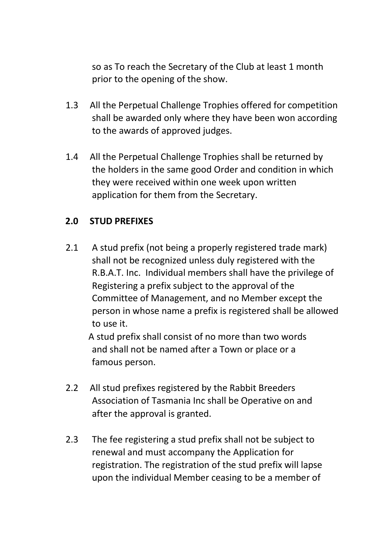so as To reach the Secretary of the Club at least 1 month prior to the opening of the show.

- 1.3 All the Perpetual Challenge Trophies offered for competition shall be awarded only where they have been won according to the awards of approved judges.
- 1.4 All the Perpetual Challenge Trophies shall be returned by the holders in the same good Order and condition in which they were received within one week upon written application for them from the Secretary.

### **2.0 STUD PREFIXES**

2.1 A stud prefix (not being a properly registered trade mark) shall not be recognized unless duly registered with the R.B.A.T. Inc. Individual members shall have the privilege of Registering a prefix subject to the approval of the Committee of Management, and no Member except the person in whose name a prefix is registered shall be allowed to use it.

 A stud prefix shall consist of no more than two words and shall not be named after a Town or place or a famous person.

- 2.2 All stud prefixes registered by the Rabbit Breeders Association of Tasmania Inc shall be Operative on and after the approval is granted.
- 2.3 The fee registering a stud prefix shall not be subject to renewal and must accompany the Application for registration. The registration of the stud prefix will lapse upon the individual Member ceasing to be a member of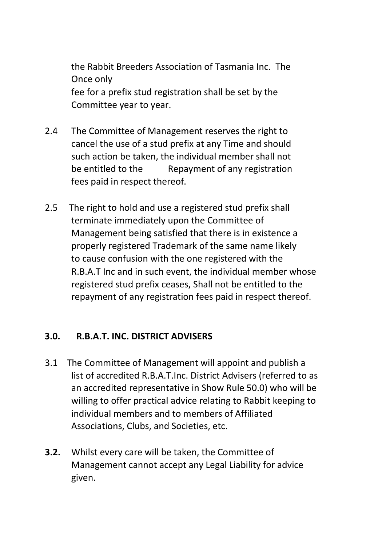the Rabbit Breeders Association of Tasmania Inc. The Once only fee for a prefix stud registration shall be set by the Committee year to year.

- 2.4 The Committee of Management reserves the right to cancel the use of a stud prefix at any Time and should such action be taken, the individual member shall not be entitled to the Repayment of any registration fees paid in respect thereof.
- 2.5 The right to hold and use a registered stud prefix shall terminate immediately upon the Committee of Management being satisfied that there is in existence a properly registered Trademark of the same name likely to cause confusion with the one registered with the R.B.A.T Inc and in such event, the individual member whose registered stud prefix ceases, Shall not be entitled to the repayment of any registration fees paid in respect thereof.

#### **3.0. R.B.A.T. INC. DISTRICT ADVISERS**

- 3.1 The Committee of Management will appoint and publish a list of accredited R.B.A.T.Inc. District Advisers (referred to as an accredited representative in Show Rule 50.0) who will be willing to offer practical advice relating to Rabbit keeping to individual members and to members of Affiliated Associations, Clubs, and Societies, etc.
- **3.2.** Whilst every care will be taken, the Committee of Management cannot accept any Legal Liability for advice given.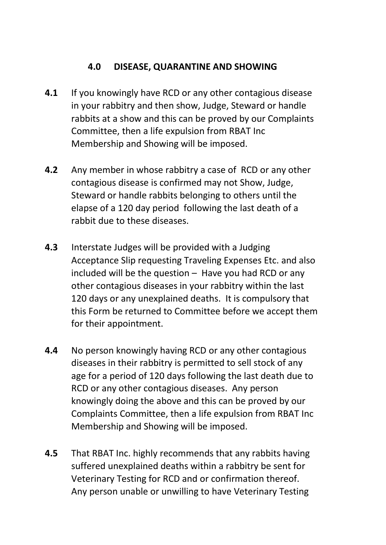# **4.0 DISEASE, QUARANTINE AND SHOWING**

- **4.1** If you knowingly have RCD or any other contagious disease in your rabbitry and then show, Judge, Steward or handle rabbits at a show and this can be proved by our Complaints Committee, then a life expulsion from RBAT Inc Membership and Showing will be imposed.
- **4.2** Any member in whose rabbitry a case of RCD or any other contagious disease is confirmed may not Show, Judge, Steward or handle rabbits belonging to others until the elapse of a 120 day period following the last death of a rabbit due to these diseases.
- **4.3** Interstate Judges will be provided with a Judging Acceptance Slip requesting Traveling Expenses Etc. and also included will be the question – Have you had RCD or any other contagious diseases in your rabbitry within the last 120 days or any unexplained deaths. It is compulsory that this Form be returned to Committee before we accept them for their appointment.
- **4.4** No person knowingly having RCD or any other contagious diseases in their rabbitry is permitted to sell stock of any age for a period of 120 days following the last death due to RCD or any other contagious diseases. Any person knowingly doing the above and this can be proved by our Complaints Committee, then a life expulsion from RBAT Inc Membership and Showing will be imposed.
- **4.5** That RBAT Inc. highly recommends that any rabbits having suffered unexplained deaths within a rabbitry be sent for Veterinary Testing for RCD and or confirmation thereof. Any person unable or unwilling to have Veterinary Testing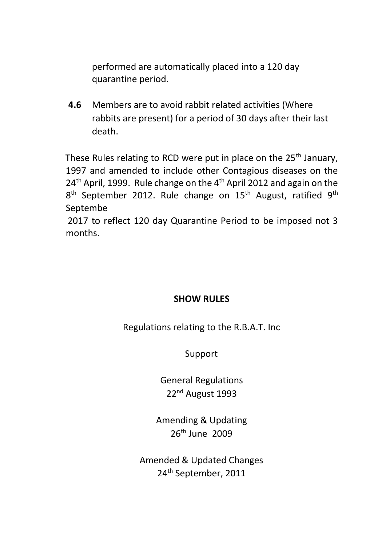performed are automatically placed into a 120 day quarantine period.

**4.6** Members are to avoid rabbit related activities (Where rabbits are present) for a period of 30 days after their last death.

These Rules relating to RCD were put in place on the  $25<sup>th</sup>$  January, 1997 and amended to include other Contagious diseases on the  $24<sup>th</sup>$  April, 1999. Rule change on the  $4<sup>th</sup>$  April 2012 and again on the  $8<sup>th</sup>$  September 2012. Rule change on 15<sup>th</sup> August, ratified  $9<sup>th</sup>$ Septembe

 2017 to reflect 120 day Quarantine Period to be imposed not 3 months.

#### **SHOW RULES**

Regulations relating to the R.B.A.T. Inc

Support

General Regulations 22nd August 1993

Amending & Updating 26th June 2009

Amended & Updated Changes 24th September, 2011